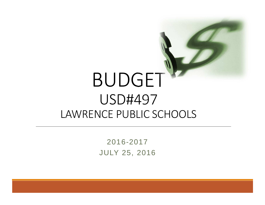# BUDGET USD#497 LAWRENCE PUBLIC SCHOOLS

2016-2017JULY 25, 2016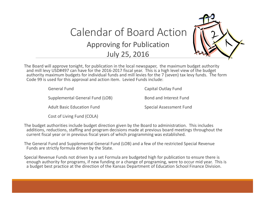

The Board will approve tonight, for publication in the local newspaper, the maximum budget authority and mill levy USD#497 can have for the 2016-2017 fiscal year. This is a high level view of the budget authority maximum budgets for individual funds and mill levies for the 7 (seven) tax levy funds. The form Code 99 is used for this approval and action item. Levied Funds include:

General Fund Capital Outlay Fund

Supplemental General Fund (LOB) Bond and Interest Fund

Adult Basic Education Fund Special Assessment Fund

Cost of Living Fund (COLA)

The budget authorities include budget direction given by the Board to administration. This includes additions, reductions, staffing and program decisions made at previous board meetings throughout the current fiscal year or in previous fiscal years of which programming was established.

The General Fund and Supplemental General Fund (LOB) and a few of the restricted Special Revenue Funds are strictly formula driven by the State.

Special Revenue Funds not driven by a set Formula are budgeted high for publication to ensure there is enough authority for programs, if new funding or a change of programing, were to occur mid year. This is a budget best practice at the direction of the Kansas Department of Education School Finance Division.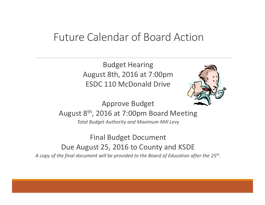### Future Calendar of Board Action

Budget Hearing August 8th, 2016 at 7:00pmESDC 110 McDonald Drive



Approve BudgetAugust 8th, 2016 at 7:00pm Board Meeting*Total Budget Authority and Maximum Mill Levy*

Final Budget DocumentDue August 25, 2016 to County and KSDE*A copy of the final document will be provided to the Board of Education after the 25th .*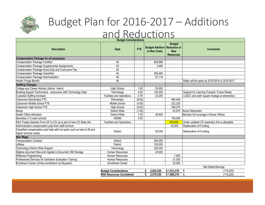

### Budget Plan for 2016-2017 – Additions and Reductions

|                                                                           | <b>Budget Considerations</b>     |            |                                        |                                                                        |                                               |
|---------------------------------------------------------------------------|----------------------------------|------------|----------------------------------------|------------------------------------------------------------------------|-----------------------------------------------|
| <b>Description</b>                                                        | <b>Dept</b>                      | <b>FTE</b> | <b>Budget Addition</b><br>or New Costs | <b>Budget</b><br><b>Reduction or</b><br><b>New</b><br><b>Resources</b> | <b>Comments</b>                               |
| <b>Compensation Package for all employees</b>                             |                                  |            |                                        |                                                                        |                                               |
| Compensation Package Certified                                            | All                              |            | 829,988                                |                                                                        |                                               |
| Compensation Package Supplemental Assignments                             | All                              |            | 3,490                                  |                                                                        |                                               |
| Compensation Package Extra Duty and Curriculum Pay                        | All                              |            |                                        |                                                                        |                                               |
| <b>Compensation Package Classified</b>                                    | All                              |            | 309,484                                |                                                                        |                                               |
| Compensation Package Administration                                       | All                              |            | 87,718                                 |                                                                        |                                               |
| Health Fringe Benefit                                                     | All                              |            |                                        |                                                                        | Rates will be same as 2015-2016 in 2016-2017  |
| <b>Staffing Changes</b>                                                   |                                  |            |                                        |                                                                        |                                               |
| College and Career Advisor (Admin. Intern)                                | <b>High School</b>               | 1.00       | 55,000                                 |                                                                        |                                               |
| Building Support Technicians - restructure with Technology Dept           | Technology                       | 2.00       | 120,000                                |                                                                        | Support for Learning Forward, Future Ready    |
| Custodial Staffing Increase                                               | <b>Facilities and Operations</b> | 0.78       | 23,250                                 |                                                                        | LC&CC and add'l square footage at elementary  |
| <b>Classroom Elementary FTE</b>                                           | Elementary                       | (8.00)     |                                        | 464,440                                                                |                                               |
| <b>Classroom Middle School FTE</b>                                        | Middle School                    | (4.00)     |                                        | 232,220                                                                |                                               |
| Classroom High School FTE                                                 | <b>High School</b>               | (5.00)     |                                        | 290,275                                                                |                                               |
| <b>Nurse</b>                                                              | <b>District Wide</b>             | (1.00)     |                                        | 42,975                                                                 | Nurse Retirement                              |
| <b>Health Office Attendent</b>                                            | District Wide                    | 1.00       | 26,600                                 |                                                                        | Maintain full coverage in Nurse Offices       |
| Secretary (1.0 each school)                                               | HS/MS                            | 3.50       |                                        | 105,000                                                                |                                               |
| F&O Trades Salaries From GF to CO up to amt of new CO State Aid           | Facilities and Operations        |            |                                        | 678,400                                                                | Under updated CO resolution this is allowable |
| Administration compensation pool from staff turnover                      |                                  |            |                                        | 52,000                                                                 | Reallocation of Funding                       |
| Classified compensation pool help with hot spots such as hard to fill and | <b>District</b>                  |            | 52,000                                 |                                                                        | Reallocation of Funding                       |
| higher turnover areas.                                                    |                                  |            |                                        |                                                                        |                                               |
| Non Wage                                                                  |                                  |            |                                        |                                                                        |                                               |
| Transportation Contract                                                   | <b>District</b>                  |            | 200,000                                |                                                                        |                                               |
| <b>Utilities</b>                                                          | <b>District</b>                  |            | 100,000                                |                                                                        |                                               |
| <b>Technology District Wide Support</b>                                   | Technology                       |            | 205,000                                |                                                                        |                                               |
| Digitize document files and migrate to Document 360 Storage               | Human Resources                  |            | 20,000                                 |                                                                        |                                               |
| <b>Wellness Programming</b>                                               | Human Resources                  |            |                                        | 7,000                                                                  |                                               |
| Professional Services for Danielson Evaluation Training                   | Human Resources                  |            |                                        | 21,000                                                                 |                                               |
| Enrollment Center (Online enrollment via Skyward)                         | <b>Enrollment Center</b>         |            |                                        | 20,000                                                                 |                                               |
|                                                                           |                                  |            |                                        |                                                                        | Net (Adds)/Savings                            |
|                                                                           | <b>Budget Considerations</b>     |            | 2,032,530                              | \$1,913,310                                                            | (119, 220)<br>\$                              |
|                                                                           | <b>With Resources Considered</b> |            | 2,079,530<br>\$                        | \$1,960,310                                                            | \$<br>(119, 220)                              |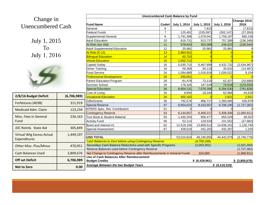#### Change in Unencumbered Cash

July 1, 2015ToJuly 1, 2016



|                                  |             | Cost of Living                       |
|----------------------------------|-------------|--------------------------------------|
| 2/8/16 Budget Deficit            | (6,706,989) | <b>Vocational Education</b>          |
| Forfeitures (403B)               | 311,919     | Gifts/Grants                         |
|                                  |             | <b>Special Reserve</b>               |
| Medicaid Adm. Claim              | 123,234     | <b>KPERS Spec. Ret. Contribution</b> |
|                                  |             | <b>Contingency Reserve</b>           |
| Misc. Fees in General            | 236,163     | Text Book & Student Material         |
| Fund                             |             | Activity Fund                        |
|                                  |             | Bond and Interest #1                 |
| JDC Reimb. State Aid             | 305,849     | Special Assessment                   |
| <b>Virtual Wtg Excess Actual</b> | 1,449,197   |                                      |
|                                  |             | <b>USD TOTAL</b>                     |
| Expenditures                     |             | <b>Cash Balances to Zero before</b>  |
| <b>Other Misc. Plus/Minus</b>    | 470,951     | Secondary Cash Balance Red           |
|                                  |             | Reserve Balances used befor          |
| <b>Cash Balances Used</b>        | 3,809,676   | Net Change to Contingency R          |
|                                  |             | <b>Use of Cash Balances After</b>    |
| <b>Off set Deficit</b>           | 6,706,989   | <b>Budget Credits</b>                |
| <b>Net to Zero</b>               | 0.00        | Average Between the two B            |
|                                  |             |                                      |

|                                                                                                   |                | <b>Unencumbered Cash Balance by Fund</b> |                |                  |                      |  |
|---------------------------------------------------------------------------------------------------|----------------|------------------------------------------|----------------|------------------|----------------------|--|
| <b>Fund Name</b>                                                                                  | Code#          | July 1, 2014                             | July 1, 2015   | July 1, 2016     | Change 2015-<br>2016 |  |
| General                                                                                           | 6              | $\Omega$                                 | 7,815          | 0                | (7, 815)             |  |
| <b>Federal Funds</b>                                                                              | $\overline{7}$ | 125,402                                  | (235,097)      | (262, 147)       | (27,050)             |  |
| Supplemental General                                                                              | 8              | 1,791,388                                | 1,079,041      | 1,759,197        | 680,156              |  |
| <b>Adult Education</b>                                                                            | 10             | 619,731                                  | 913,737        | 757,389          | (156, 348)           |  |
| At Risk (4yr Old)                                                                                 | 11             | 578,643                                  | 353,066        | 246,522          | (106, 544)           |  |
| Adult Supplemental Education                                                                      | 12             | 25,981                                   | 25,981         | 25,981           | $\Omega$             |  |
| At Risk (K-12)                                                                                    | 13             | 2,984,551                                |                |                  |                      |  |
| <b>Bilingual Education</b>                                                                        | 14             | 60,753                                   |                |                  |                      |  |
| <b>Virtual Education</b>                                                                          | 15             | 1,002,712                                |                |                  |                      |  |
| Capital Outlay                                                                                    | 16             | 5,035,715                                | 6,467,699      | 4,432,732        | (2,034,967)          |  |
| <b>Driver Training</b>                                                                            | 18             | 58,389                                   | 50,119         | 35,632           | (14, 487)            |  |
| <b>Food Service</b>                                                                               | 24             | 1,094,889                                | 1,016,918      | 1,026,022        | 9,104                |  |
| <b>Professional Development</b>                                                                   | 26             | 250,051                                  |                |                  |                      |  |
| <b>Parent Education Program</b>                                                                   | 28             | 81,478                                   | 73,115         | 62,427           | (10, 688)            |  |
| Summer School                                                                                     | 29             | 178,326                                  | 197,549        | 74,516           | (123, 033)           |  |
| <b>Special Education</b>                                                                          | 30             | 8,904,131                                | 7,076,356      | 6,284,530        | (791, 826)           |  |
| Cost of Living                                                                                    | 33             | 8,694                                    | 18,340         | 62,968           | 44,628               |  |
| <b>Vocational Education</b>                                                                       | 34             | 402,102                                  |                | 2,921            | 2,921                |  |
| Gifts/Grants                                                                                      | 35             | 792,576                                  | 966,717        | 1,393,695        | 426,978              |  |
| <b>Special Reserve</b>                                                                            | 47             | 8,954,619                                | 8,433,557      | 6,706,195        | (1,727,362)          |  |
| KPERS Spec. Ret. Contribution                                                                     | 51             | 0                                        | 0              | 0l               |                      |  |
| <b>Contingency Reserve</b>                                                                        | 53             | 6,144,657                                | 6,469,217      | 5,408,306        | (1,060,911)          |  |
| <b>Text Book &amp; Student Material</b>                                                           | 55             | 1,430,204                                | 906,477        | 955,029          | 48,552               |  |
| <b>Activity Fund</b>                                                                              | 56             | 52,114                                   | 129,534        | 101,552          | (27, 982)            |  |
| Bond and Interest #1                                                                              | 62             | 12,519,194                               | 13,809,512     | 14,936,252       | 1,126,740            |  |
| <b>Special Assessment</b>                                                                         | 67             | 428,519                                  | 431,202        | 432,357          | 1,155                |  |
|                                                                                                   |                |                                          |                |                  |                      |  |
| <b>USD TOTAL</b>                                                                                  |                | 53,524,819                               | 48,190,855     | 44,442,076       | (3,748,779)          |  |
| Cash Balances to Zero before using Contingency Reserve                                            |                |                                          | (4,700,169)    |                  |                      |  |
| Secondary Cash Balance Reductions used with Specific Programs                                     |                |                                          | (2,053,352)    |                  | (1,021,403)          |  |
| Reserve Balances used before Contingency Reserve                                                  |                |                                          |                |                  | (1,727,362)          |  |
| Net Change to Contingency Reserve after Reimbursements in General Funds<br>(1,060,911)<br>324,560 |                |                                          |                |                  |                      |  |
| Use of Cash Balances After Reimbursement                                                          |                |                                          |                |                  |                      |  |
| <b>Budget Credits</b>                                                                             |                |                                          | \$ (6,428,961) |                  | \$ (3,809,676)       |  |
| <b>Average Between the two Budget Years</b>                                                       |                |                                          |                | \$ (5, 119, 319) |                      |  |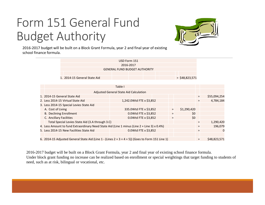### Form 151 General Fund Budget Authority



 2016-2017 budget will be built on a Block Grant Formula, year 2 and final year of existing school finance formula.

|                                | USD Form 151                                                                                          |                                        |                          |  |     |                  |     |              |  |
|--------------------------------|-------------------------------------------------------------------------------------------------------|----------------------------------------|--------------------------|--|-----|------------------|-----|--------------|--|
|                                | 2016-2017                                                                                             |                                        |                          |  |     |                  |     |              |  |
|                                |                                                                                                       | <b>GENERAL FUND BUDGET AUTHORITY</b>   |                          |  |     |                  |     |              |  |
|                                |                                                                                                       |                                        |                          |  |     |                  |     |              |  |
|                                | 1. 2014-15 General State Aid                                                                          |                                        |                          |  |     | $=$ \$48,823,571 |     |              |  |
|                                |                                                                                                       |                                        |                          |  |     |                  |     |              |  |
|                                |                                                                                                       | Table I                                |                          |  |     |                  |     |              |  |
|                                |                                                                                                       | Adjusted General State Aid Calculation |                          |  |     |                  |     |              |  |
| 1. 2014-15 General State Aid   |                                                                                                       |                                        |                          |  |     |                  | $=$ | \$55,094,254 |  |
|                                | 2. Less 2014-15 Virtual State Aid                                                                     |                                        | 1,242.0Wtd FTE x \$3,852 |  |     |                  | $=$ | 4,784,184    |  |
|                                | 3. Less 2014-15 Special Levies State Aid                                                              |                                        |                          |  |     |                  |     |              |  |
| A. Cost of Living              |                                                                                                       |                                        | 335.0Wtd FTE x \$3,852   |  | $=$ | \$1,290,420      |     |              |  |
| <b>B.</b> Declining Enrollment |                                                                                                       |                                        | 0.0Wtd FTE x \$3,852     |  | $=$ | \$0              |     |              |  |
| C. Ancillary Facilities        |                                                                                                       |                                        | 0.0Wtd FTE x \$3,852     |  | =   | 50               |     |              |  |
|                                | Total Special Levies State Aid (3.A through 3.C)                                                      |                                        |                          |  |     |                  | $=$ | 1,290,420    |  |
|                                | 4. Less Amount to fund Extraordinary Need State Aid (Line 1 minus (Line 2 + Line 3) x 0.4%)           |                                        |                          |  |     |                  | Ξ   | 196,079      |  |
|                                | 5. Less 2014-15 New Facilities State Aid                                                              |                                        | 0.0Wtd FTE x \$3,852     |  |     |                  | $=$ |              |  |
|                                |                                                                                                       |                                        |                          |  |     |                  |     |              |  |
|                                | 6. 2014-15 Adjusted General State Aid (Line $1 -$ (Lines $2 + 3 + 4 + 5$ )) (Goes to Form 151 Line 1) |                                        |                          |  |     |                  | $=$ | \$48,823,571 |  |
|                                |                                                                                                       |                                        |                          |  |     |                  |     |              |  |

2016-2017 budget will be built on a Block Grant Formula, year 2 and final year of existing school finance formula.Under block grant funding no increase can be realized based on enrollment or special weightings that target funding to students of need, such as at risk, bilingual or vocational, etc.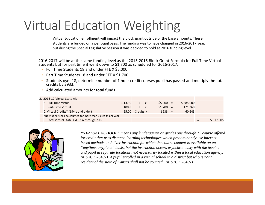### Virtual Education Weighting

 Virtual Education enrollment will impact the block grant outside of the base amounts. These students are funded on a per pupil basis. The funding was to have changed in 2016-2017 year, but during the Special Legislative Session it was decided to hold at 2016 funding level.

2016-2017 will be at the same funding level as the 2015-2016 Block Grant Formula for Full Time VirtualStudents but for part time it went down to \$1,700 as scheduled for 2016-2017.

- $\bullet$ Full Time Students 18 and under FTE X \$5,000
- Part Time Students 18 and under FTE X \$1,700
- Students over 18, determine number of 1 hour credit courses pupil has passed and multiply the total credits by \$933.
- Add calculated amounts for total funds

| 2. 2016-17 Virtual State Aid                                  |         |           |            |           |           |
|---------------------------------------------------------------|---------|-----------|------------|-----------|-----------|
| A. Full-Time Virtual                                          | 1.137.0 | FTE x     | $$5,000 =$ | 5,685,000 |           |
| B. Part-Time Virtual                                          | 100.8   | FTE x     | $$1,700 =$ | 171,360   |           |
| C. Virtual Credits* (19yrs and older)                         | 65.00   | Credits x | $$933 =$   | 60.645    |           |
| *No student shall be counted for more than 6 credits per year |         |           |            |           |           |
| Total Virtual State Aid (2.A through 2.C)                     |         |           |            |           | 5,917,005 |



*"VIRTUAL SCHOOL" means any kindergarten or grades one through 12 course offered for credit that uses distance-learning technologies which predominantly use internetbased methods to deliver instruction for which the course content is available on an "anytime, anyplace" basis, but the instruction occurs asynchronously with the teacher and pupil in separate locations, not necessarily located within a local education agency. (K.S.A. 72-6407) A pupil enrolled in a virtual school in a district but who is not a resident of the state of Kansas shall not be counted. (K.S.A. 72-6407)*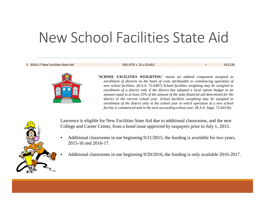## New School Facilities State Aid

#### 3. 2016-17 New Facilities State Aid 950.5FTE x .25 x \$3,852 915,235



*"SCHOOL FACILITIES WEIGHTING" means an addend componen<sup>t</sup> assigned to*enrollment of districts on the basis of costs attributable to commencing operation of new school facilities. (K.S.A. 72-6407) School facilities weighting may be assigned to enrollment of a district only if the district has adopted a local option budget in an amount equal to at least 25% of the amount of the state financial aid determined for the district in the current school year. School facilities weighting may be assigned to enrollment of the district only in the school year in which operation of a new school facility is commenced and in the next succeeding school year. (K.S.A. Supp. 72-6415b)



Lawrence is eligible for New Facilities State Aid due to additional classrooms, and the new College and Career Center, from a bond issue approved by taxpayers prior to July 1, 2015.

- • Additional classrooms in use beginning 9/21/2015, the funding is available for two years, 2015-16 and 2016-17.
- •Additional classrooms in use beginning 9/20/2016, the funding is only available 2016-2017.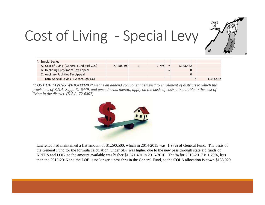

## Cost of Living - Special Levy

| 4. Special Levies                         |            |   |            |           |           |
|-------------------------------------------|------------|---|------------|-----------|-----------|
| A. Cost of Living (General Fund excl COL) | 77,288,399 | x | $1.79\% =$ | 1.383.462 |           |
| B. Declining Enrollment Tax Appeal        |            |   |            |           |           |
| C. Ancillary Facilities Tax Appeal        |            |   |            |           |           |
| Total Special Levies (4.A through 4.C)    |            |   |            |           | 1,383,462 |

*"COST OF LIVING WEIGHTING" means an addend component assigned to enrollment of districts to which the provisions of K.S.A. Supp. 72-6449, and amendments thereto, apply on the basis of costs attributable to the cost of living in the district. (K.S.A. 72-6407)*



Lawrence had maintained a flat amount of \$1,290,500, which in 2014-2015 was 1.97% of General Fund. The basis of the General Fund for the formula calculation, under SB7 was higher due to the new pass through state aid funds of KPERS and LOB, so the amount available was higher \$1,571,491 in 2015-2016. The % for 2016-2017 is 1.79%, less than the 2015-2016 and the LOB is no longer a pass thru in the General Fund, so the COLA allocation is down \$188,029.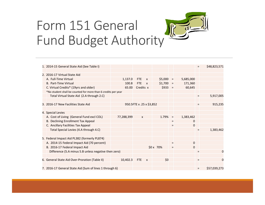## Form 151 General Fund Budget Authority

| 1. 2014-15 General State Aid (See Table I)                    |            |                            |            |          |             | $=$ | \$48,823,571 |
|---------------------------------------------------------------|------------|----------------------------|------------|----------|-------------|-----|--------------|
|                                                               |            |                            |            |          |             |     |              |
| 2. 2016-17 Virtual State Aid                                  |            |                            |            |          |             |     |              |
| A. Full-Time Virtual                                          | 1,137.0    | <b>FTE</b><br>$\mathsf{x}$ | $$5,000 =$ |          | 5,685,000   |     |              |
| <b>B. Part-Time Virtual</b>                                   | 100.8      | <b>FTE</b><br>$\mathbf{x}$ | $$1,700 =$ |          | 171,360     |     |              |
| C. Virtual Credits* (19yrs and older)                         | 65.00      | Credits x                  | $$933 =$   |          | 60,645      |     |              |
| *No student shall be counted for more than 6 credits per year |            |                            |            |          |             |     |              |
| Total Virtual State Aid (2.A through 2.C)                     |            |                            |            |          |             | $=$ | 5,917,005    |
|                                                               |            |                            |            |          |             |     |              |
| 3. 2016-17 New Facilities State Aid                           |            | 950.5FTE x .25 x \$3,852   |            |          |             | $=$ | 915,235      |
|                                                               |            |                            |            |          |             |     |              |
| 4. Special Levies                                             |            |                            |            |          |             |     |              |
| A. Cost of Living (General Fund excl COL)                     | 77,288,399 | $\boldsymbol{\mathsf{x}}$  | 1.79%      | $\equiv$ | 1,383,462   |     |              |
| B. Declining Enrollment Tax Appeal                            |            |                            |            | $=$      | $\mathbf 0$ |     |              |
| C. Ancillary Facilities Tax Appeal                            |            |                            |            | $=$      | $\Omega$    |     |              |
| Total Special Levies (4.A through 4.C)                        |            |                            |            |          |             | $=$ | 1,383,462    |
|                                                               |            |                            |            |          |             |     |              |
| 5. Federal Impact Aid PL382 (formerly PL874)                  |            |                            |            |          |             |     |              |
| A. 2014-15 Federal Impact Aid (70 percent)                    |            |                            |            | $=$      | $\mathbf 0$ |     |              |
| B. 2016-17 Federal Impact Aid                                 |            |                            | \$0 x 70%  | $\equiv$ | $\mathbf 0$ |     |              |
| Difference (5.A minus 5.B unless negative then zero)          |            |                            |            |          |             | $=$ | 0            |
|                                                               |            |                            |            |          |             |     |              |
| 6. General State Aid Over-Proration (Table II)                | 10,402.3   | FTE<br>$\mathsf{x}$        | \$0        |          |             | $=$ | $\Omega$     |
|                                                               |            |                            |            |          |             |     |              |
| 7. 2016-17 General State Aid (Sum of lines 1 through 6)       |            |                            |            |          |             | $=$ | \$57,039,273 |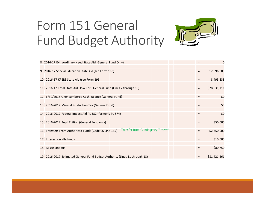## Form 151 General Fund Budget Authority

| 8. 2016-17 Extraordinary Need State Aid (General Fund Only)                                        | $=$ | $\bf{0}$     |
|----------------------------------------------------------------------------------------------------|-----|--------------|
| 9. 2016-17 Special Education State Aid (see Form 118)                                              | $=$ | 12,996,000   |
| 10. 2016-17 KPERS State Aid (see Form 195)                                                         | $=$ | 8,495,838    |
| 11. 2016-17 Total State Aid Flow-Thru General Fund (Lines 7 through 10)                            | $=$ | \$78,531,111 |
| 12. 6/30/2016 Unencumbered Cash Balance (General Fund)                                             | $=$ | \$0          |
| 13. 2016-2017 Mineral Production Tax (General Fund)                                                | $=$ | \$0          |
| 14. 2016-2017 Federal Impact Aid PL 382 (formerly PL 874)                                          | $=$ | \$0          |
| 15. 2016-2017 Pupil Tuition (General Fund only)                                                    | $=$ | \$50,000     |
| <b>Transfer from Contingency Reserve</b><br>16. Transfers From Authorized Funds (Code 06 Line 165) | $=$ | \$2,750,000  |
| 17. Interest on idle funds                                                                         | $=$ | \$10,000     |
| 18. Miscellaneous                                                                                  | $=$ | \$80,750     |
| 19. 2016-2017 Estimated General Fund Budget Authority (Lines 11 through 18)                        | $=$ | \$81,421,861 |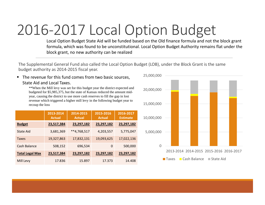## 2016-2017 Local Option Budget

 Local Option Budget State Aid will be funded based on the Old finance formula and not the block grant formula, which was found to be unconstitutional. Local Option Budget Authority remains flat under the block grant, no new authority can be realized

The Supplemental General Fund also called the Local Option Budget (LOB), under the Block Grant is the same budget authority as 2014-2015 fiscal year.

■ The revenue for this fund comes from two basic sources, State Aid and Local Taxes.

 \*\*When the Mill levy was set for this budget year the district expected and budgeted for \$5,985,375, but the state of Kansas reduced the amount midyear, causing the district to use more cash reserves to fill the gap in lost revenue which triggered a higher mill levy in the following budget year to recoup the loss

|                        | 2013-2014<br><b>Actual</b> | 2014-2015<br><b>Actual</b> | 2015-2016<br><b>Actual</b> | 2016-2017<br><b>Estimate</b> |
|------------------------|----------------------------|----------------------------|----------------------------|------------------------------|
| <b>Budget</b>          | 23,517,384                 | 23,297,182                 | 23,297,182                 | 23,297,182                   |
| State Aid              | 3,681,369                  | **4,768,517                | 4,203,557                  | 5,775,047                    |
| <b>Taxes</b>           | 19,327,863                 | 17,832,131                 | 19,093,625                 | 17,022,136                   |
| Cash Balance           | 508,152                    | 696,534                    | $\Omega$                   | 500,000                      |
| <b>Total Legal Max</b> | 23,517,384                 | 23,297,182                 | 23,297,182                 | 23,297,182                   |
| Mill Levy              | 17.836                     | 15.897                     | 17.373                     | 14.408                       |

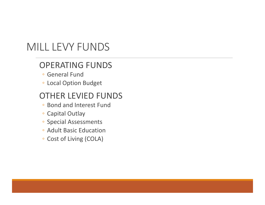### MILL LEVY FUNDS

### OPERATING FUNDS

- General Fund
- Local Option Budget

### OTHER LEVIED FUNDS

- Bond and Interest Fund
- Capital Outlay
- Special Assessments
- Adult Basic Education
- Cost of Living (COLA)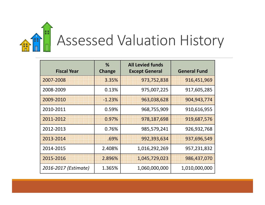

# **Assessed Valuation History**

| <b>Fiscal Year</b>   | %<br><b>Change</b> | <b>All Levied funds</b><br><b>Except General</b> | <b>General Fund</b> |
|----------------------|--------------------|--------------------------------------------------|---------------------|
| 2007-2008            | 3.35%              | 973,752,838                                      | 916,451,969         |
| 2008-2009            | 0.13%              | 975,007,225                                      | 917,605,285         |
| 2009-2010            | $-1.23%$           | 963,038,628                                      | 904, 943, 774       |
| 2010-2011            | 0.59%              | 968,755,909                                      | 910,616,955         |
| 2011-2012            | 0.97%              | 978,187,698                                      | 919,687,576         |
| 2012-2013            | 0.76%              | 985,579,241                                      | 926,932,768         |
| 2013-2014            | .69%               | 992,393,634                                      | 937,696,549         |
| 2014-2015            | 2.408%             | 1,016,292,269                                    | 957,231,832         |
| 2015-2016            | 2.896%             | 1,045,729,023                                    | 986,437,070         |
| 2016-2017 (Estimate) | 1.365%             | 1,060,000,000                                    | 1,010,000,000       |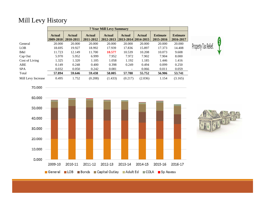#### Mill Levy History

|                    | <b>7 Year Mill Levy Summary</b>  |                            |                            |                            |         |                                         |                              |                              |
|--------------------|----------------------------------|----------------------------|----------------------------|----------------------------|---------|-----------------------------------------|------------------------------|------------------------------|
|                    | <b>Actual</b><br>$ 2009 - 2010 $ | <b>Actual</b><br>2010-2011 | <b>Actual</b><br>2011-2012 | <b>Actual</b><br>2012-2013 | Actual  | <b>Actual</b><br> 2013-2014   2014-2015 | <b>Estimate</b><br>2015-2016 | <b>Estimate</b><br>2016-2017 |
| General            | 20.000                           | 20.000                     | 20,000                     | 20.000                     | 20.000  | 20.000                                  | 20.000                       | 20.000                       |
| <b>LOB</b>         | 18.695                           | 19.927                     | 18.992                     | 17.939                     | 17.836  | 15.897                                  | 17.373                       | 14.408                       |
| B&I                | 11.723                           | 12.149                     | 11.700                     | 10.577                     | 10.539  | 10.208                                  | 10.073                       | 9.608                        |
| Cap Out            | 5.970                            | 5.952                      | 6.999                      | 7.952                      | 7.972   | 7.902                                   | 7.904                        | 8.000                        |
| Cost of Living     | 1.325                            | 1.320                      | 1.105                      | 1.058                      | 1.192   | 1.185                                   | 1.446                        | 1.416                        |
| <b>ABE</b>         | 0.149                            | 0.248                      | 0.400                      | 0.398                      | 0.249   | 0.494                                   | 0.099                        | 0.250                        |
| <b>SPA</b>         | 0.032                            | 0.050                      | 0.242                      | 0.081                      |         | 0.066                                   | 0.011                        | 0.059                        |
| Total              | 57.894                           | 59.646                     | 59.438                     | 58.005                     | 57.788  | 55.752                                  | 56.906                       | 53.741                       |
| Mill Levy Increase | 0.495                            | 1.752                      | (0.208)                    | (1.433)                    | (0.217) | (2.036)                                 | 1.154                        | (3.165)                      |





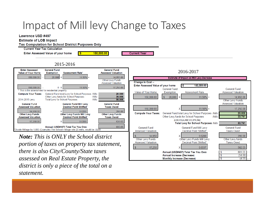### Impact of Mill levy Change to Taxes



*district is only a piece of the total on a statement.*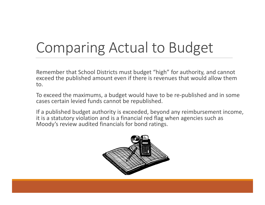## Comparing Actual to Budget

Remember that School Districts must budget "high" for authority, and cannot exceed the published amount even if there is revenues that would allow them to.

To exceed the maximums, a budget would have to be re-published and in some cases certain levied funds cannot be republished.

If a published budget authority is exceeded, beyond any reimbursement income, it is a statutory violation and is a financial red flag when agencies such as Moody's review audited financials for bond ratings.

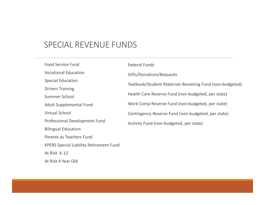#### SPECIAL REVENUE FUNDS

At Risk 4 Year Old

| <b>Food Service Fund</b>                       | <b>Federal Funds</b>                                     |
|------------------------------------------------|----------------------------------------------------------|
| <b>Vocational Education</b>                    | Gifts/Donations/Bequests                                 |
| <b>Special Education</b>                       | Textbook/Student Materials Revolving Fund (non-budgeted) |
| <b>Drivers Training</b>                        |                                                          |
| Summer School                                  | Health Care Reserve Fund (non-budgeted, per state)       |
| <b>Adult Supplemental Fund</b>                 | Work Comp Reserve Fund (non-budgeted, per state)         |
| <b>Virtual School</b>                          | Contingency Reserve Fund (non-budgeted, per state)       |
| Professional Development Fund                  | Activity Fund (non-budgeted, per state)                  |
| <b>Bilingual Education</b>                     |                                                          |
| Parents as Teachers Fund                       |                                                          |
| <b>KPERS Special Liability Retirement Fund</b> |                                                          |
| At Risk K-12                                   |                                                          |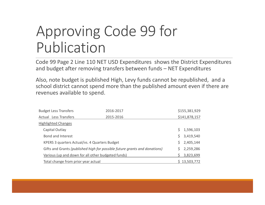## Approving Code 99 for Publication

 Code 99 Page 2 Line 110 NET USD Expenditures shows the District Expenditures and budget after removing transfers between funds – NET Expenditures

Also, note budget is published High, Levy funds cannot be republished, and a school district cannot spend more than the published amount even if there are revenues available to spend.

| <b>Budget Less Transfers</b>                                               | 2016-2017    | \$155,381,929 |  |  |
|----------------------------------------------------------------------------|--------------|---------------|--|--|
| <b>Actual Less Transfers</b>                                               | 2015-2016    | \$141,878,157 |  |  |
| <b>Highlighted Changes</b>                                                 |              |               |  |  |
| Capital Outlay                                                             |              | 1,596,103     |  |  |
| <b>Bond and Interest</b>                                                   |              | 3,419,540     |  |  |
| KPERS 3 quarters Actual/vs. 4 Quarters Budget                              | 2,405,144    |               |  |  |
| Gifts and Grants (published high for possible future grants and donations) | 2,259,286    |               |  |  |
| Various (up and down for all other budgeted funds)                         | 3,823,699    |               |  |  |
| Total change from prior year actual                                        | \$13,503,772 |               |  |  |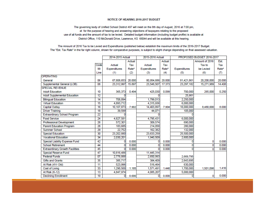#### NOTICE OF HEARING 2016-2017 BUDGET

#### The governing body of Unified School District 497 will meet on the 8th day of August, 2016 at 7:00 pm, at for the purpose of hearing and answering objections of taxpayers relating to the proposed use of all funds and the amount of tax to be levied. Detailed budget information (including budget profile) is available at District Office, 110 McDonald Drive, Lawrence, KS 66044 and will be available at this hearing.

#### The Amount of 2016 Tax to be Levied and Expenditures (published below) establish the maximum limits of the 2016-2017 Budget. The "Est. Tax Rate" in the far right column, shown for comparative purposes, is subject to slight change depending on final assessed valuation.

|                                        |      |              | 2014-2015 Actual<br>2015-2016 Actual |              |        | PROPOSED BUDGET 2016-2017 |            |        |
|----------------------------------------|------|--------------|--------------------------------------|--------------|--------|---------------------------|------------|--------|
|                                        |      |              | Actual                               |              | Actual | Amount of 2016            |            | Est.   |
|                                        | Code | Actual       | Tax                                  | Actual       | Tax    |                           | Tax to     | Tax    |
|                                        | 99   | Expenditures | Rate*                                | Expenditures | Rate*  | <b>Expenditures</b>       | be Levied  | Rate*  |
|                                        | Line | (1)          | (2)                                  | (3)          | (4)    | (5)                       | (6)        | (7)    |
| <b>OPERATING</b>                       |      |              |                                      |              |        |                           |            |        |
| General                                | 06   | 67,808,653   | 20,000                               | 80,954,686   | 20,000 | 81,421,861                | 20,200,000 | 20,000 |
| Supplemental General (LOB)             | 08   | 23,312,997   | 15.897                               | 23,548,507   | 17.373 | 23,297,182                | 15,271,989 | 14.408 |
| <b>SPECIAL REVENUE</b>                 |      |              |                                      |              |        |                           |            |        |
| <b>Adult Education</b>                 | 10   | 365,373      | 0.494                                | 425,030      | 0.099  | 700,000                   | 265,000    | 0.250  |
| <b>Adult Supplemental Education</b>    | 12   |              |                                      |              |        | 25.981                    |            |        |
| <b>Bilingual Education</b>             | 14   | 708,894      |                                      | 1,799,013    |        | 2,250,000                 |            |        |
| <b>Virtual Education</b>               | 15   | 4,893,712    |                                      | 4,315,936    |        | 6,000,000                 |            |        |
| Capital Outlay                         | 16   | 10,107,873   | 7.902                                | 14,403,897   | 7.904  | 16,000,000                | 8,480,000  | 8,000  |
| <b>Driver Training</b>                 | 18   | 39,599       |                                      | 44.071       |        | 105,000                   |            |        |
| Extraordinary School Program           | 22   |              |                                      |              |        |                           |            |        |
| <b>Food Service</b>                    | 24   | 4,827,581    |                                      | 4,795,431    |        | 6,000,000                 |            |        |
| Professional Development               | 26   | 572,301      |                                      | 309.574      |        | 690,000                   |            |        |
| Parent Education Program               | 28   | 183,685      |                                      | 214,058      |        | 280,000                   |            |        |
| Summer School                          | 29   | 22,752       |                                      | 162,382      |        | 132.000                   |            |        |
| <b>Special Education</b>               | 30   | 23,202,880   |                                      | 23,633,259   |        | 25,500,000                |            |        |
| <b>Vocational Education</b>            | 34   | 2.030.201    |                                      | 1,940,509    |        | 2,600,000                 |            |        |
| Special Liability Expense Fund         | 42   |              | 0.000                                |              | 0.000  |                           | 0          | 0.000  |
| <b>School Retirement</b>               | 44   | O            | 0.000                                | O            | 0.000  |                           | ٥          | 0.000  |
| <b>Extraordinary Growth Facilities</b> | 45   | n            | 0.000                                | n            | 0.000  |                           | n          | 0.000  |
| <b>Special Reserve Fund</b>            | 47   | 10,816,486   |                                      | 11,445,314   |        |                           |            |        |
| <b>Federal Funds</b>                   | 07   | 2,778,888    |                                      | 2,650,993    |        | 2,669,795                 |            |        |
| Gifts and Grants                       | 35   | 385,717      |                                      | 384,409      |        | 2,643,695                 |            |        |
| At Risk (4Yr Old)                      | 11   | 523,996      |                                      | 516,464      |        | 630,000                   |            |        |
| Cost of Living                         | 33   | 1,290,500    | 1.185                                | 1,571,491    | 1.446  | 1,700,000                 | 1,501,098  | 1.416  |
| At Risk (K-12)                         | 13   | 4,847,974    |                                      | 4,085,207    |        | 5,000,000                 |            |        |
| <b>Declining Enrollment</b>            | 19   |              | 0.000                                |              | 0.000  |                           | ٥          | 0.000  |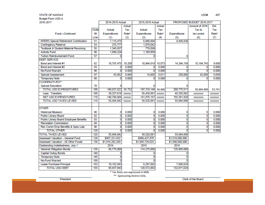#### STATE OF KANSAS

Budget Form USD-A

| 2016-2017                                    |      | 2014-2015 Actual   |                | 2015-2016 Actual    |        | PROPOSED BUDGET 2016-2017 |                |                 |
|----------------------------------------------|------|--------------------|----------------|---------------------|--------|---------------------------|----------------|-----------------|
|                                              |      |                    | Actual         |                     | Actual |                           | Amount of 2016 | Est.            |
|                                              | Code | Actual             | Tax            | Actual              | Tax    |                           | Tax to         | Tax             |
| Fund-Continued                               | 99   | Expenditures       | Rate*          | <b>Expenditures</b> | Rate*  | Expenditures              | be Levied      | Rate*           |
|                                              | Line | (1)                | (2)            | (3)                 | (4)    | (5)                       | (6)            | (7)             |
| <b>KPERS Special Retirement Contribution</b> | 51   | 7,115,475          |                | 6.090.694           |        | 8,495,838                 |                |                 |
| <b>Contingency Reserve</b>                   | 53   | 275,777            |                | 1,079,042           |        |                           |                |                 |
| Textbook & Student Material Revolving        | 55   | 1,345,657          |                | 779,099             |        |                           |                |                 |
| <b>Activity Fund</b>                         | 56   | 1.689.224          |                | 1.189.858           |        |                           |                |                 |
| <b>Tuition Reimbursement Fund</b>            | 57   |                    |                |                     |        |                           |                |                 |
| <b>DEBT SERVICE</b>                          |      |                    |                |                     |        |                           |                |                 |
| Bond and Interest #1                         | 62   | 10,797,475         | 10.208         | 10,964,619 10.073   |        | 14,384,159                | 10,184,743     | 9.608           |
| Bond and Interest #2                         | 63   |                    | 0.000          | 0                   | 0.000  |                           |                | 0.000           |
| No-Fund Warrant                              | 66   | n                  | 0.000          | o                   | 0.000  | n                         | n              | 0.000           |
| <b>Special Assessment</b>                    | 67   | 83,952             | 0.066          | 14,605              | 0.011  | 250,000                   | 62,058         | 0.059           |
| <b>Temporary Note</b>                        | 68   |                    | 0.000          | o                   | 0.000  |                           |                | 0.000           |
| <b>COOPERATIVES**</b>                        |      |                    |                |                     |        |                           |                |                 |
| <b>Special Education</b>                     | 78   |                    |                |                     |        |                           |                |                 |
| <b>TOTAL USD EXPENDITURES</b>                | 100  | 180.027.622        | 55.752         | 197,318,148 56.906  |        | 200,775,511               | 55.964.888     | 53.741          |
| Less: Transfers                              | 105  | 39,327,618 xxxxx   |                | 55,439,991 xxxxxx   |        | 45,393,582                | XXXXXXXXX      | XXXXXXXX        |
| <b>NET USD EXPENDITURES</b>                  | 110  | 140,700,004 xxxxxx |                | 141,878,157 xxxxx   |        | 155,381,929               | XXXXXXXXX      | <b>XXXXXXXX</b> |
| <b>TOTAL USD TAXES LEVIED</b>                | 115  | 55.404.042         | <b>XXXXXXX</b> | 58,520,881 xxxxxx   |        | 55,964,888                | XXXXXXXXXX     | XXXXXXXX        |
|                                              |      |                    |                |                     |        |                           |                |                 |
| <b>OTHER</b>                                 |      |                    |                |                     |        |                           |                |                 |
| <b>Historical Museum</b>                     | 80   | 0                  | 0.000          | 0                   | 0.000  | 0                         | 0              | 0.000           |
| Public Library Board                         | 82   | O                  | 0.000          | 0                   | 0.000  | 0                         | 0              | 0.000           |
| Public Library Board Employee Benefits       | 83   | O                  | 0.000          | 0                   | 0.000  | 0                         | 0              | 0.000           |
| Recreation Commission                        | 84   | 0                  | 0.000          | 0                   | 0.000  | $\overline{0}$            | $\overline{0}$ | 0.000           |
| Rec Comm Emp Benefits & Spec Liab            | 86   | 0                  | 0.000          | 0                   | 0.000  | 0                         | O              | 0.000           |
| <b>TOTAL OTHER</b>                           | 120  |                    | 0.000          | n                   | 0.000  |                           | $\overline{0}$ | 0.000           |
| <b>TOTAL TAXES LEVIED</b>                    | 125  | 55,404,042         |                | 58,520,881          |        | 55,964,888                |                |                 |
| Assessed Valuation - General Fund            | 128  | \$957,231,832      |                | \$986,437,070       |        | \$1,010,000,000           |                |                 |
| Assessed Valuation - All Other Funds         | 130  | \$1,016,292,269    |                | \$1,045,729,023     |        | \$1,060,000,000           |                |                 |
| Outstanding Indebtedness, July 1             |      | 2014               |                | 2015                |        | 2016                      |                |                 |
| <b>General Obligation Bonds</b>              | 135  | 85,775,000         |                | 114,275,000         |        | 125.905.000               |                |                 |
| <b>Capital Outlay Bonds</b>                  | 140  |                    |                |                     |        |                           |                |                 |
| <b>Temporary Note</b>                        | 145  |                    |                |                     |        |                           |                |                 |
| No-Fund Warrant                              | 150  |                    |                |                     |        |                           |                |                 |
| Lease Purchase Principal                     | 153  | 10,162,843         |                | 6,297,062           |        | 7.066.024                 |                |                 |
| <b>TOTAL USD DEBT</b>                        | 155  | 95,937,843         |                | 120,572,062         |        | 132,971,024               |                |                 |

\* Tax Rates are expressed in Mills

\*\* Sponsoring District Only